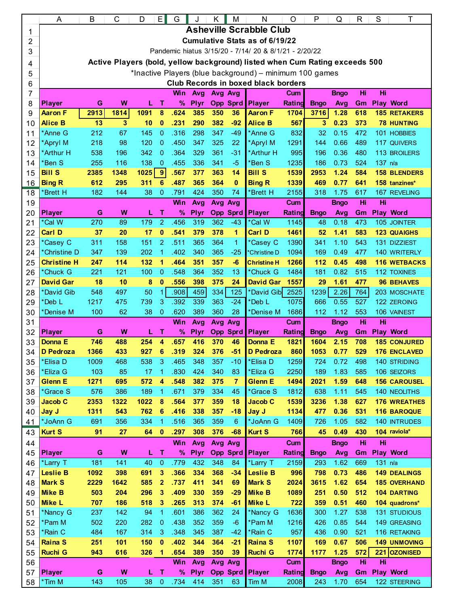|    | A                                                                           | B                                          | С    | D    | E                    | G    |             | Κ       | M               | N                  | O          | P           | Q           | R   | S       | Τ                   |
|----|-----------------------------------------------------------------------------|--------------------------------------------|------|------|----------------------|------|-------------|---------|-----------------|--------------------|------------|-------------|-------------|-----|---------|---------------------|
| 1  | <b>Asheville Scrabble Club</b>                                              |                                            |      |      |                      |      |             |         |                 |                    |            |             |             |     |         |                     |
| 2  | <b>Cumulative Stats as of 6/19/22</b>                                       |                                            |      |      |                      |      |             |         |                 |                    |            |             |             |     |         |                     |
| 3  | Pandemic hiatus 3/15/20 - 7/14/ 20 & 8/1/21 - 2/20/22                       |                                            |      |      |                      |      |             |         |                 |                    |            |             |             |     |         |                     |
| 4  | Active Players (bold, yellow background) listed when Cum Rating exceeds 500 |                                            |      |      |                      |      |             |         |                 |                    |            |             |             |     |         |                     |
| 5  | *Inactive Players (blue background) - minimum 100 games                     |                                            |      |      |                      |      |             |         |                 |                    |            |             |             |     |         |                     |
| 6  |                                                                             | <b>Club Records in boxed black borders</b> |      |      |                      |      |             |         |                 |                    |            |             |             |     |         |                     |
| 7  | Hi<br>Hi<br>Win<br>Avg Avg<br>Avg<br>Cum<br><b>B</b> ngo                    |                                            |      |      |                      |      |             |         |                 |                    |            |             |             |     |         |                     |
| 8  | <b>Player</b>                                                               | G                                          | W    | L    | т                    | %    | <b>Plyr</b> |         | <b>Opp Sprd</b> | Player             | Rating     | <b>Bngo</b> | Avg         | Gm  |         | <b>Play Word</b>    |
| 9  | <b>Aaron F</b>                                                              | 2913                                       | 1814 | 1091 | 8                    | .624 | 385         | 350     | 36              | <b>Aaron F</b>     | 1704       | 3716        | 1.28        | 618 |         | <b>185 RETAKERS</b> |
| 10 | <b>Alice B</b>                                                              | 13                                         | 3    | 10   | $\bf{0}$             | .231 | 290         | 382     | $-92$           | <b>Alice B</b>     | 567        | 3           | 0.23        | 373 |         | <b>78 HUNTING</b>   |
| 11 | *Anne G                                                                     | 212                                        | 67   | 145  | $\overline{0}$       | .316 | 298         | 347     | $-49$           | *Anne G            | 832        | 32          | 0.15        | 472 |         | 101 HOBBIES         |
| 12 | *Apryl M                                                                    | 218                                        | 98   | 120  | $\overline{0}$       | .450 | 347         | 325     | 22              | *Apryl M           | 1291       | 144         | 0.66        | 489 |         | 117 QUIVERS         |
| 13 | *Arthur H                                                                   | 538                                        | 196  | 342  | 0                    | .364 | 329         | 361     | $-31$           | *Arthur H          | 995        | 196         | 0.36        | 480 |         | <b>113 BROILERS</b> |
| 14 | *Ben S                                                                      | 255                                        | 116  | 138  | $\overline{0}$       | .455 | 336         | 341     | $-5$            | *Ben S             | 1235       | 186         | 0.73        | 524 | 137 n/a |                     |
| 15 | <b>Bill S</b>                                                               | 2385                                       | 1348 | 1025 | 9                    | .567 | 377         | 363     | 14              | <b>Bill S</b>      | 1539       | 2953        | 1.24        | 584 |         | <b>158 BLENDERS</b> |
| 16 | <b>Bing R</b>                                                               | 612                                        | 295  | 311  | 6                    | .487 | 365         | 364     | $\bf{0}$        | <b>Bing R</b>      | 1339       | 469         | 0.77        | 641 |         | 158 tanzines*       |
| 18 | 'Brett H                                                                    | 182                                        | 144  | 38   | $\overline{0}$       | .791 | 424         | 350     | 74              | *Brett H           | 2155       | 318         | 1.75        | 617 |         | 167 REVELING        |
| 19 |                                                                             |                                            |      |      |                      | Win  | Avg         | Avg     | Avg             |                    | Cum        |             | <b>Bngo</b> | Hi  | Hi      |                     |
| 20 | <b>Player</b>                                                               | G                                          | W    | L    | т                    | $\%$ | <b>Plyr</b> |         | Opp Sprd        | Player             | Rating     | <b>Bngo</b> | Avg         | Gm  |         | <b>Play Word</b>    |
| 21 | *Cal W                                                                      | 270                                        | 89   | 179  | $\overline{2}$       | .456 | 319         | 362     | $-43$           | *Cal W             | 1145       | 48          | 0.18        | 473 |         | 105 JOINTER         |
| 22 | <b>Carl D</b>                                                               | 37                                         | 20   | 17   | $\bf{0}$             | .541 | 379         | 378     | 1               | <b>Carl D</b>      | 1461       | 52          | 1.41        | 583 |         | <b>123 QUAIGHS</b>  |
| 23 | *Casey C                                                                    | 311                                        | 158  | 151  | $\overline{2}$       | .511 | 365         | 364     | $\mathbf{1}$    | *Casey C           | 1390       | 341         | 1.10        | 543 |         | 131 DIZZIEST        |
| 24 | *Christine D                                                                | 347                                        | 139  | 202  | 1                    | .402 | 340         | 365     | $-25$           | *Christine D       | 1094       | 169         | 0.49        | 477 |         | <b>140 WRITERLY</b> |
| 25 | <b>Christine H</b>                                                          | 247                                        | 114  | 132  | 1                    | .464 | 351         | 357     | -6              | <b>Christine H</b> | 1266       | 112         | 0.45        | 498 |         | <b>116 WETBACKS</b> |
| 26 | *Chuck G                                                                    | 221                                        | 121  | 100  | $\mathbf 0$          | .548 | 364         | 352     | 13              | *Chuck G           | 1484       | 181         | 0.82        | 515 |         | <b>112 TOXINES</b>  |
| 27 | <b>David Gar</b>                                                            | 18                                         | 10   | 8    | $\bf{0}$             | .556 | 398         | 375     | 24              | <b>David Gar</b>   | 1557       | 29          | 1.61        | 477 |         | <b>96 BEHAVES</b>   |
| 28 | *David Gib                                                                  | 548                                        | 497  | 50   | 1                    | .908 | 459         | 334     | 125             | *David Gib         | 2525       | 1239        | 2.26        | 764 |         | 203 MOSCHATE        |
| 29 | *Deb L                                                                      | 1217                                       | 475  | 739  | 3                    | .392 | 339         | 363     | $-24$           | *Deb L             | 1075       | 666         | 0.55        | 527 |         | 122 ZEROING         |
| 30 | 'Denise M                                                                   | 100                                        | 62   | 38   | $\overline{0}$       | .620 | 389         | 360     | 28              | *Denise M          | 1686       | 112         | 1.12        | 553 |         | 106 VAINEST         |
| 31 |                                                                             |                                            |      |      |                      | Win  | Avg         | Avg     | Avg             |                    | Cum        |             | <b>Bngo</b> | Hi  | Hi      |                     |
| 32 | <b>Player</b>                                                               | G                                          | W    | L    | т                    | $\%$ | <b>Plyr</b> |         | Opp Sprd        | Player             | Rating     | <b>Bngo</b> | Avg         | Gm  |         | <b>Play Word</b>    |
| 33 | <b>Donna E</b>                                                              | 746                                        | 488  | 254  | 4                    | .657 | 416         | 370     | 46              | <b>Donna E</b>     | 1821       | 1604        | 2.15        | 708 |         | <b>185 CONJURED</b> |
| 34 | <b>D</b> Pedroza                                                            | 1366                                       | 433  | 927  | 6                    | .319 | 324         | 376     | -51             | <b>D</b> Pedroza   | 860        | 1053        | 0.77        | 529 |         | <b>176 ENCLAVED</b> |
| 35 | 'Elisa D                                                                    | 1009                                       | 468  | 538  | 3                    | .465 | 348         | 357     | $-10$           | *Elisa D           | 1259       | 724         | 0.72        | 498 |         | 140 STRIDING        |
| 36 | *Eliza G                                                                    | 103                                        | 85   | 17   | 1                    | .830 | 424         | 340     | 83              | *Eliza G           | 2250       | 189         | 1.83        | 585 |         | 106 SEIZORS         |
| 37 | <b>Glenn E</b>                                                              | 1271                                       | 695  | 572  | 4                    | .548 | 382         | 375     | $\overline{7}$  | <b>Glenn E</b>     | 1494       | 2021        | 1.59        | 648 |         | <b>156 CAROUSEL</b> |
| 38 | *Grace S                                                                    | 576                                        | 386  | 189  | 1                    | .671 | 379         | 334     | 45              | *Grace S           | 1812       | 638         | 1.11        | 545 |         | 140 NEOLITHS        |
| 39 | Jacob C                                                                     | 2353                                       | 1322 | 1022 | 8                    | .564 | 377         | 359     | 18              | <b>Jacob C</b>     | 1539       | 3236        | 1.38        | 627 |         | <b>176 WREATHES</b> |
| 40 | Jay J                                                                       | 1311                                       | 543  | 762  | 6                    | .416 | 338         | 357     | -18             | Jay J              | 1134       | 477         | 0.36        | 531 |         | <b>116 BAROQUE</b>  |
| 41 | *JoAnn G                                                                    | 691                                        | 356  | 334  | 1                    | .516 | 365         | 359     | 6               | *JoAnn G           | 1409       | 726         | 1.05        | 582 |         | <b>140 INTRUDES</b> |
| 43 | <b>Kurt S</b>                                                               | 91                                         | 27   | 64   | $\bf{0}$             | .297 | 308         | 376     | $-68$           | <b>Kurt S</b>      | 766        | 45          | 0.49        | 430 |         | 104 raviola*        |
| 44 |                                                                             |                                            |      |      |                      | Win  | Avg         | Avg Avg |                 |                    | <b>Cum</b> |             | <b>Bngo</b> | Hi  | Hi      |                     |
| 45 | <b>Player</b>                                                               | G                                          | W    | L    | $\mathbf T$          | %    | <b>Plyr</b> |         | Opp Sprd        | <b>Player</b>      | Rating     | <b>Bngo</b> | Avg         | Gm  |         | <b>Play Word</b>    |
| 46 | *Larry T                                                                    | 181                                        | 141  | 40   | $\bf{0}$             | .779 | 432         | 348     | 84              | *Larry T           | 2159       | 293         | 1.62        | 669 | 131 n/a |                     |
| 47 | <b>Leslie B</b>                                                             | 1092                                       | 398  | 691  | 3                    | .366 | 334         | 368     | $-34$           | <b>Leslie B</b>    | 996        | 798         | 0.73        | 486 |         | <b>149 DEALINGS</b> |
| 48 | <b>Mark S</b>                                                               | 2229                                       | 1642 | 585  | $\mathbf{2}$         | .737 | 411         | 341     | 69              | <b>Mark S</b>      | 2024       | 3615        | 1.62        | 654 |         | <b>185 OVERHAND</b> |
| 49 | <b>Mike B</b>                                                               | 503                                        | 204  | 296  | 3                    | .409 | 330         | 359     | $-29$           | <b>Mike B</b>      | 1089       | 251         | 0.50        | 512 |         | <b>104 DARTING</b>  |
| 50 | <b>Mike L</b>                                                               | 707                                        | 186  | 518  | 3                    | .265 | 313         | 374     | $-61$           | Mike L             | 722        | 359         | 0.51        | 460 |         | 104 quadrons*       |
| 51 | *Nancy G                                                                    | 237                                        | 142  | 94   | $\mathbf{1}$         | .601 | 386         | 362     | 24              | *Nancy G           | 1636       | 300         | 1.27        | 538 |         | <b>131 STUDIOUS</b> |
| 52 | *Pam M                                                                      | 502                                        | 220  | 282  | $\bf{0}$             | .438 | 352         | 359     | $-6$            | *Pam M             | 1216       | 426         | 0.85        | 544 |         | 149 GREASING        |
| 53 | *Rain C                                                                     | 484                                        | 167  | 314  | 3                    | .348 | 345         | 387     | $-42$           | *Rain C            | 957        | 436         | 0.90        | 521 |         | 116 RETAKING        |
| 54 | Raina S                                                                     | 251                                        | 101  | 150  | $\bf{0}$             | .402 | 344         | 364     | $-21$           | Raina <sub>S</sub> | 1107       | 169         | 0.67        | 506 |         | <b>149 UNMOVING</b> |
| 55 | Ruchi G                                                                     | 943                                        | 616  | 326  | $\blacktriangleleft$ | .654 | 389         | 350     | 39              | <b>Ruchi G</b>     | 1774       | 1177        | 1.25        | 572 |         | 221 OZONISED        |
| 56 |                                                                             |                                            |      |      |                      | Win  | Avg         | Avg Avg |                 |                    | Cum        |             | <b>Bngo</b> | Hi  | Hi      |                     |
| 57 | <b>Player</b>                                                               | G                                          | W    | L    | $\mathsf T$          | $\%$ | <b>Plyr</b> |         | Opp Sprd        | Player             | Rating     | <b>Bngo</b> | Avg         | Gm  |         | <b>Play Word</b>    |
| 58 | *Tim M                                                                      | 143                                        | 105  | 38   | $\mathbf 0$          | .734 | 414         | 351     | 63              | Tim M              | 2008       | 243         | 1.70        | 654 |         | 122 STEERING        |